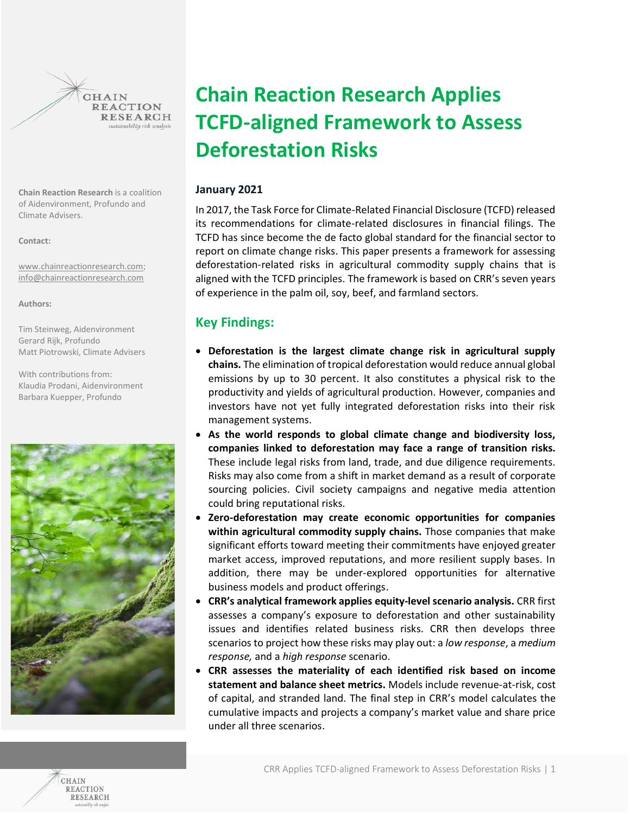**REACTION RESEARCH** sustainability risk analysis

**CHAIN** 

**Chain Reaction Research** is a coalition of Aidenvironment, Profundo and Climate Advisers.

**Contact:**

[www.chainreactionresearch.com;](http://www.chainreactionresearch.com/) [info@chainreactionresearch.com](mailto:info@chainreactionresearch.com) 

**Authors:**

Tim Steinweg, Aidenvironment Gerard Rijk, Profundo Matt Piotrowski, Climate Advisers

With contributions from: Klaudia Prodani, Aidenvironment Barbara Kuepper, Profundo



# **Chain Reaction Research Applies TCFD-aligned Framework to Assess Deforestation Risks**

# **January 2021**

In 2017, the Task Force for Climate-Related Financial Disclosure (TCFD) released its recommendations for climate-related disclosures in financial filings. The TCFD has since become the de facto global standard for the financial sector to report on climate change risks. This paper presents a framework for assessing deforestation-related risks in agricultural commodity supply chains that is aligned with the TCFD principles. The framework is based on CRR's seven years of experience in the palm oil, soy, beef, and farmland sectors.

# **Key Findings:**

- **Deforestation is the largest climate change risk in agricultural supply chains.** The elimination of tropical deforestation would reduce annual global emissions by up to 30 percent. It also constitutes a physical risk to the productivity and yields of agricultural production. However, companies and investors have not yet fully integrated deforestation risks into their risk management systems.
- **As the world responds to global climate change and biodiversity loss, companies linked to deforestation may face a range of transition risks.** These include legal risks from land, trade, and due diligence requirements. Risks may also come from a shift in market demand as a result of corporate sourcing policies. Civil society campaigns and negative media attention could bring reputational risks.
- **Zero-deforestation may create economic opportunities for companies within agricultural commodity supply chains.** Those companies that make significant efforts toward meeting their commitments have enjoyed greater market access, improved reputations, and more resilient supply bases. In addition, there may be under-explored opportunities for alternative business models and product offerings.
- **CRR's analytical framework applies equity-level scenario analysis.** CRR first assesses a company's exposure to deforestation and other sustainability issues and identifies related business risks. CRR then develops three scenarios to project how these risks may play out: a *low response*, a *medium response,* and a *high response* scenario.
- **CRR assesses the materiality of each identified risk based on income statement and balance sheet metrics.** Models include revenue-at-risk, cost of capital, and stranded land. The final step in CRR's model calculates the cumulative impacts and projects a company's market value and share price under all three scenarios.

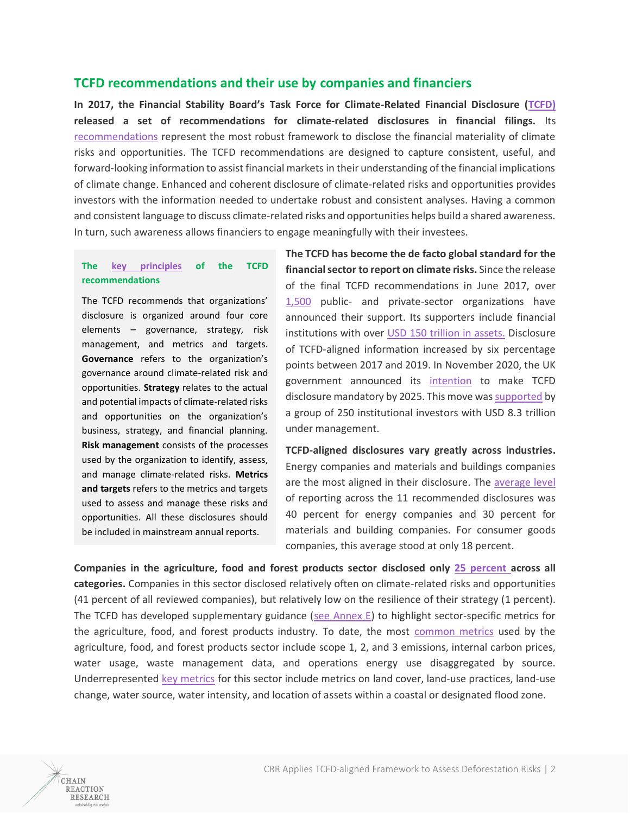# **TCFD recommendations and their use by companies and financiers**

**In 2017, the Financial Stability Board's Task Force for Climate-Related Financial Disclosure [\(TCFD\)](https://www.fsb-tcfd.org/) released a set of recommendations for climate-related disclosures in financial filings.** Its [recommendations](https://www.fsb-tcfd.org/wp-content/uploads/2017/06/FINAL-2017-TCFD-Report-11052018.pdf) represent the most robust framework to disclose the financial materiality of climate risks and opportunities. The TCFD recommendations are designed to capture consistent, useful, and forward-looking information to assist financial markets in their understanding of the financial implications of climate change. Enhanced and coherent disclosure of climate-related risks and opportunities provides investors with the information needed to undertake robust and consistent analyses. Having a common and consistent language to discuss climate-related risks and opportunities helps build a shared awareness. In turn, such awareness allows financiers to engage meaningfully with their investees.

## **The [key principles](https://www.tcfdhub.org/) of the TCFD recommendations**

The TCFD recommends that organizations' disclosure is organized around four core elements – governance, strategy, risk management, and metrics and targets. **Governance** refers to the organization's governance around climate-related risk and opportunities. **Strategy** relates to the actual and potential impacts of climate-related risks and opportunities on the organization's business, strategy, and financial planning. **Risk management** consists of the processes used by the organization to identify, assess, and manage climate-related risks. **Metrics and targets** refers to the metrics and targets used to assess and manage these risks and opportunities. All these disclosures should be included in mainstream annual reports.

**The TCFD has become the de facto global standard for the financial sector to report on climate risks.** Since the release of the final TCFD recommendations in June 2017, over [1,500](https://www.fsb.org/wp-content/uploads/P291020-1.pdf) public- and private-sector organizations have announced their support. Its supporters include financial institutions with over USD 150 [trillion in assets.](https://www.fsb.org/wp-content/uploads/P291020-1.pdf) Disclosure of TCFD-aligned information increased by six percentage points between 2017 and 2019. In November 2020, the UK government announced its [intention](https://www.gov.uk/government/publications/uk-joint-regulator-and-government-tcfd-taskforce-interim-report-and-roadmap#:~:text=The%20UK%20has%20announced%20its,pathway%20to%20achieving%20that%20ambition.) to make TCFD disclosure mandatory by 2025. This move wa[s supported](https://www.theguardian.com/environment/2020/oct/19/call-climate-risk-reports-mandatory-ftse-listed-firms) by a group of 250 institutional investors with USD 8.3 trillion under management.

**TCFD-aligned disclosures vary greatly across industries.**  Energy companies and materials and buildings companies are the most aligned in their disclosure. The [average level](https://www.fsb.org/wp-content/uploads/P291020-1.pdf) of reporting across the 11 recommended disclosures was 40 percent for energy companies and 30 percent for materials and building companies. For consumer goods companies, this average stood at only 18 percent.

**Companies in the agriculture, food and forest products sector disclosed only [25 percent](https://www.fsb.org/wp-content/uploads/P291020-1.pdf) across all categories.** Companies in this sector disclosed relatively often on climate-related risks and opportunities (41 percent of all reviewed companies), but relatively low on the resilience of their strategy (1 percent). The TCFD has developed supplementary guidance [\(see Annex E\)](https://www.fsb-tcfd.org/wp-content/uploads/2017/12/FINAL-TCFD-Annex-Amended-121517.pdf) to highlight sector-specific metrics for the agriculture, food, and forest products industry. To date, the most [common metrics](https://docs.wbcsd.org/2020/04/WBCSD-TCFD-Food-Agriculture-and-Forest-Products%C2%AC-Preparer-Fourm-report.pdf) used by the agriculture, food, and forest products sector include scope 1, 2, and 3 emissions, internal carbon prices, water usage, waste management data, and operations energy use disaggregated by source. Underrepresented [key metrics](https://assets.bbhub.io/company/sites/60/2020/10/FINAL-TCFD-Annex-Amended-121517.pdf) for this sector include metrics on land cover, land-use practices, land-use change, water source, water intensity, and location of assets within a coastal or designated flood zone.

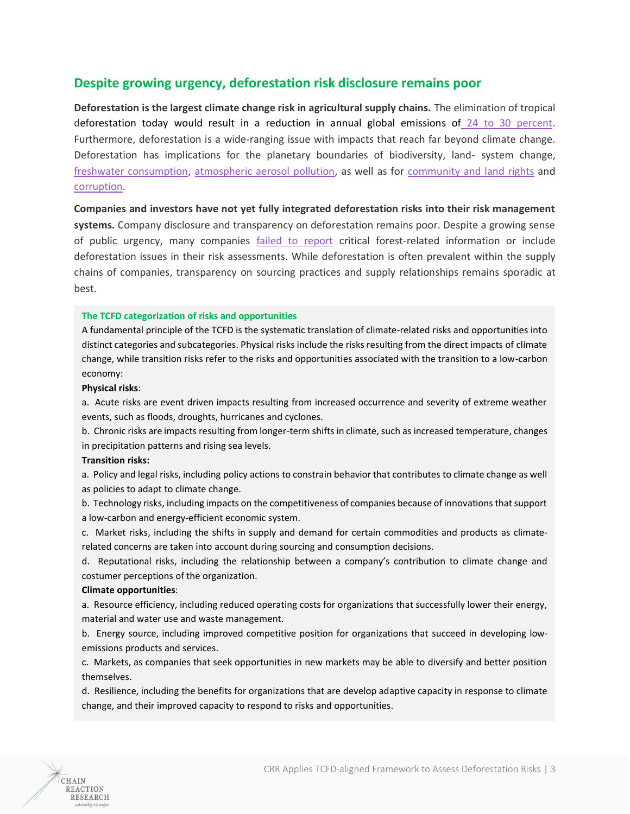# **Despite growing urgency, deforestation risk disclosure remains poor**

**Deforestation is the largest climate change risk in agricultural supply chains.** The elimination of tropical deforestation today would result in a reduction in annual global emissions of [24 to 30 percent.](https://www.cgdev.org/publication/why-forests-why-now-science-economics-and-politics-tropical-forests-and-climate-change#:~:text=Ending%20tropical%20deforestation%20and%20letting,emissions%2C%20while%20also%20advancing%20development.) Furthermore, deforestation is a wide-ranging issue with impacts that reach far beyond climate change. Deforestation has implications for the planetary boundaries of biodiversity, land- system change, [freshwater consumption,](https://www.nationalgeographic.com/environment/2018/11/how-cutting-the-amazon-forest-could-affect-weather/) [atmospheric aerosol pollution,](https://journals.ametsoc.org/jcli/article/33/8/3351/345074/Impacts-of-Wildfire-Aerosols-on-Global-Energy) as well as for [community and land rights](https://www.reuters.com/article/us-brazil-indigenous-insight-idUSKCN1QK0BG) and [corruption.](https://www.hrw.org/report/2019/09/17/rainforest-mafias/how-violence-and-impunity-fuel-deforestation-brazils-amazon)

**Companies and investors have not yet fully integrated deforestation risks into their risk management systems.** Company disclosure and transparency on deforestation remains poor. Despite a growing sense of public urgency, many companies [failed to report](https://6fefcbb86e61af1b2fc4-c70d8ead6ced550b4d987d7c03fcdd1d.ssl.cf3.rackcdn.com/cms/reports/documents/000/004/653/original/CDP_Global_Forests_Report_2019.pdf?1563799387) critical forest-related information or include deforestation issues in their risk assessments. While deforestation is often prevalent within the supply chains of companies, transparency on sourcing practices and supply relationships remains sporadic at best.

## **The TCFD categorization of risks and opportunities**

A fundamental principle of the TCFD is the systematic translation of climate-related risks and opportunities into distinct categories and subcategories. Physical risks include the risks resulting from the direct impacts of climate change, while transition risks refer to the risks and opportunities associated with the transition to a low-carbon economy:

### **Physical risks**:

a. Acute risks are event driven impacts resulting from increased occurrence and severity of extreme weather events, such as floods, droughts, hurricanes and cyclones.

b. Chronic risks are impacts resulting from longer-term shifts in climate, such as increased temperature, changes in precipitation patterns and rising sea levels.

#### **Transition risks:**

a. Policy and legal risks, including policy actions to constrain behavior that contributes to climate change as well as policies to adapt to climate change.

b. Technology risks, including impacts on the competitiveness of companies because of innovations that support a low-carbon and energy-efficient economic system.

c. Market risks, including the shifts in supply and demand for certain commodities and products as climaterelated concerns are taken into account during sourcing and consumption decisions.

d. Reputational risks, including the relationship between a company's contribution to climate change and costumer perceptions of the organization.

#### **Climate opportunities**:

a. Resource efficiency, including reduced operating costs for organizations that successfully lower their energy, material and water use and waste management.

b. Energy source, including improved competitive position for organizations that succeed in developing lowemissions products and services.

c. Markets, as companies that seek opportunities in new markets may be able to diversify and better position themselves.

d. Resilience, including the benefits for organizations that are develop adaptive capacity in response to climate change, and their improved capacity to respond to risks and opportunities.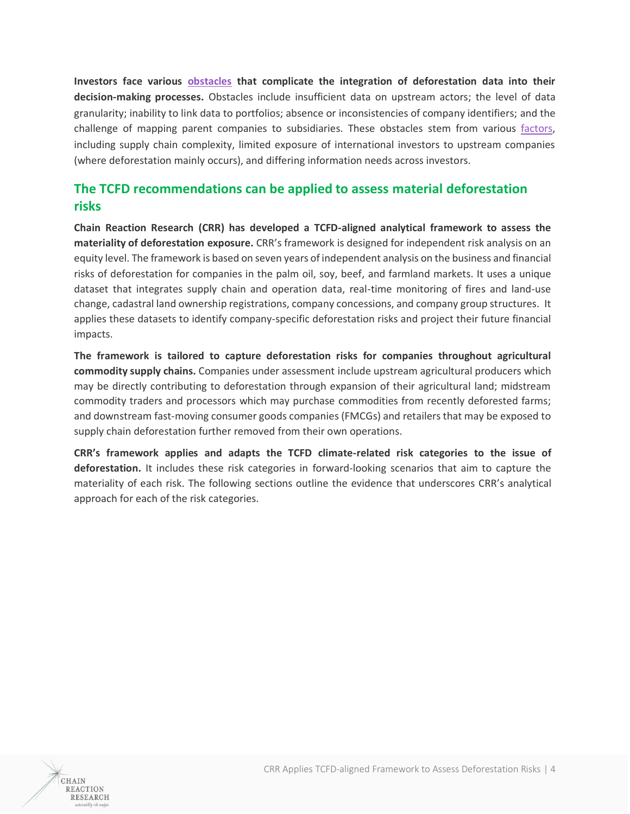**Investors face various [obstacles](https://d5i6is0eze552.cloudfront.net/documents/Publikasjoner/Andre-rapporter/Deforestation-tools-assessment_low.pdf?mtime=20200817124554) that complicate the integration of deforestation data into their decision-making processes.** Obstacles include insufficient data on upstream actors; the level of data granularity; inability to link data to portfolios; absence or inconsistencies of company identifiers; and the challenge of mapping parent companies to subsidiaries. These obstacles stem from various [factors,](https://d5i6is0eze552.cloudfront.net/documents/Publikasjoner/Andre-rapporter/Deforestation-tools-assessment_low.pdf?mtime=20200817124554) including supply chain complexity, limited exposure of international investors to upstream companies (where deforestation mainly occurs), and differing information needs across investors.

# **The TCFD recommendations can be applied to assess material deforestation risks**

**Chain Reaction Research (CRR) has developed a TCFD-aligned analytical framework to assess the materiality of deforestation exposure.** CRR's framework is designed for independent risk analysis on an equity level. The framework is based on seven years of independent analysis on the business and financial risks of deforestation for companies in the palm oil, soy, beef, and farmland markets. It uses a unique dataset that integrates supply chain and operation data, real-time monitoring of fires and land-use change, cadastral land ownership registrations, company concessions, and company group structures. It applies these datasets to identify company-specific deforestation risks and project their future financial impacts.

**The framework is tailored to capture deforestation risks for companies throughout agricultural commodity supply chains.** Companies under assessment include upstream agricultural producers which may be directly contributing to deforestation through expansion of their agricultural land; midstream commodity traders and processors which may purchase commodities from recently deforested farms; and downstream fast-moving consumer goods companies (FMCGs) and retailers that may be exposed to supply chain deforestation further removed from their own operations.

**CRR's framework applies and adapts the TCFD climate-related risk categories to the issue of deforestation.** It includes these risk categories in forward-looking scenarios that aim to capture the materiality of each risk. The following sections outline the evidence that underscores CRR's analytical approach for each of the risk categories.

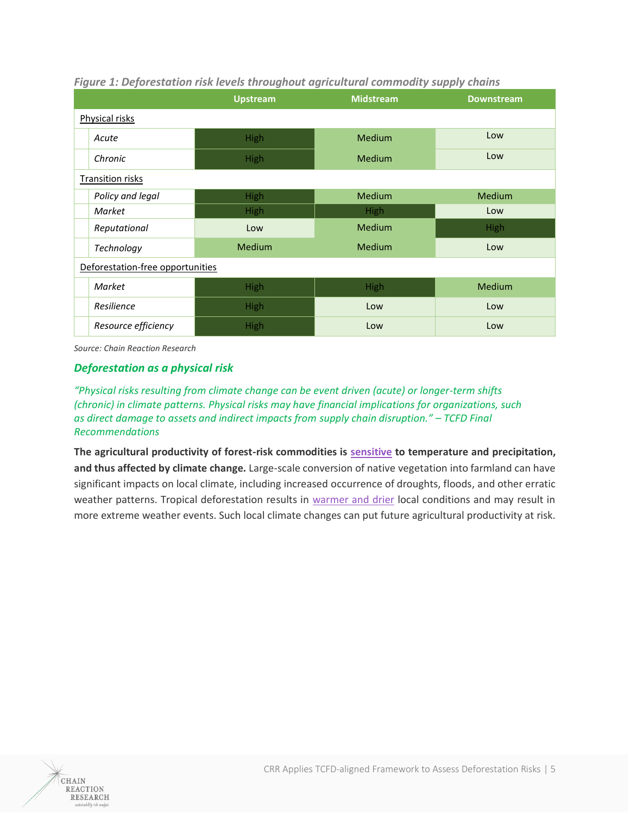|                                  | <b>Upstream</b> | <b>Midstream</b> | <b>Downstream</b> |
|----------------------------------|-----------------|------------------|-------------------|
| Physical risks                   |                 |                  |                   |
| Acute                            | High            | <b>Medium</b>    | Low               |
| Chronic                          | <b>High</b>     | <b>Medium</b>    | Low               |
| <b>Transition risks</b>          |                 |                  |                   |
| Policy and legal                 | <b>High</b>     | Medium           | <b>Medium</b>     |
| Market                           | <b>High</b>     | High             | Low               |
| Reputational                     | Low             | Medium           | <b>High</b>       |
| Technology                       | <b>Medium</b>   | <b>Medium</b>    | Low               |
| Deforestation-free opportunities |                 |                  |                   |
| Market                           | <b>High</b>     | High             | <b>Medium</b>     |
| Resilience                       | <b>High</b>     | Low              | Low               |
| Resource efficiency              | High            | Low              | Low               |

# *Figure 1: Deforestation risk levels throughout agricultural commodity supply chains*

*Source: Chain Reaction Research*

# *Deforestation as a physical risk*

*"Physical risks resulting from climate change can be event driven (acute) or longer-term shifts (chronic) in climate patterns. Physical risks may have financial implications for organizations, such as direct damage to assets and indirect impacts from supply chain disruption." – TCFD Final Recommendations*

**The agricultural productivity of forest-risk commodities is [sensitive](https://www.unepfi.org/wordpress/wp-content/uploads/2018/07/NAVIGATING-A-NEW-CLIMATE.pdf) to temperature and precipitation, and thus affected by climate change.** Large-scale conversion of native vegetation into farmland can have significant impacts on local climate, including increased occurrence of droughts, floods, and other erratic weather patterns. Tropical deforestation results in [warmer and drier](https://www.nature.com/articles/nclimate2430/) local conditions and may result in more extreme weather events. Such local climate changes can put future agricultural productivity at risk.

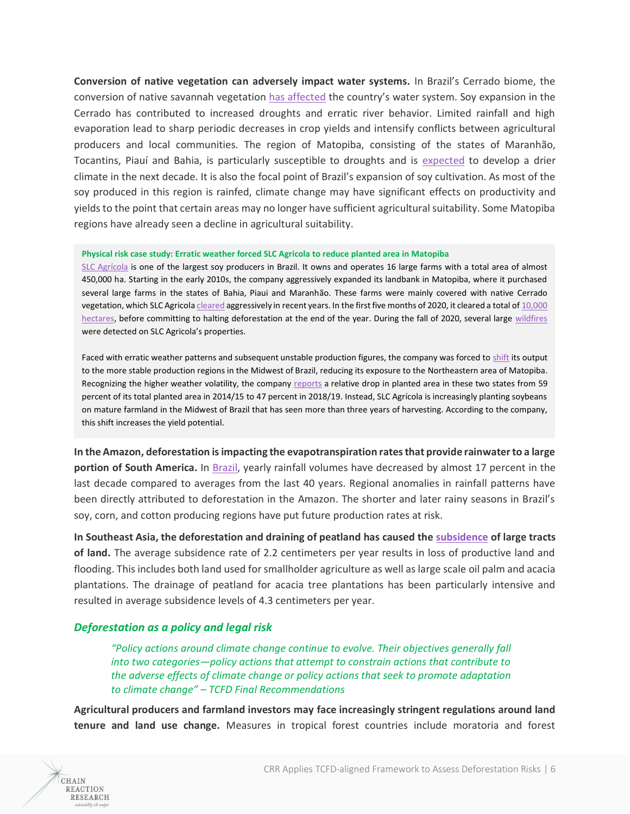**Conversion of native vegetation can adversely impact water systems.** In Brazil's Cerrado biome, the conversion of native savannah vegetation [has affected](https://chainreactionresearch.com/report/cerrado-deforestation-disrupts-water-systems-poses-business-risks-for-soy-producers/) the country's water system. Soy expansion in the Cerrado has contributed to increased droughts and erratic river behavior. Limited rainfall and high evaporation lead to sharp periodic decreases in crop yields and intensify conflicts between agricultural producers and local communities. The region of Matopiba, consisting of the states of Maranhão, Tocantins, Piauí and Bahia, is particularly susceptible to droughts and is [expected](https://news.mongabay.com/2020/05/soy-made-the-cerrado-a-breadbasket-climate-change-may-end-that/) to develop a drier climate in the next decade. It is also the focal point of Brazil's expansion of soy cultivation. As most of the soy produced in this region is rainfed, climate change may have significant effects on productivity and yields to the point that certain areas may no longer have sufficient agricultural suitability. Some Matopiba regions have already seen a decline in agricultural suitability.

#### **Physical risk case study: Erratic weather forced SLC Agricola to reduce planted area in Matopiba**

[SLC Agrícola](https://www.slcagricola.com.br/) is one of the largest soy producers in Brazil. It owns and operates 16 large farms with a total area of almost 450,000 ha. Starting in the early 2010s, the company aggressively expanded its landbank in Matopiba, where it purchased several large farms in the states of Bahia, Piaui and Maranhão. These farms were mainly covered with native Cerrado vegetation, which SLC Agricol[a cleared](https://chainreactionresearch.com/report/slc-agricola-planned-deforestation-could-contradict-buyers-esg-policies/) aggressively in recent years. In the first five months of 2020, it cleared a total of 10,000 [hectares,](https://chainreactionresearch.com/the-chain-slc-agricola-to-continue-with-immediate-plans-for-land-clearing-despite-zero-deforestation-rhetoric/) before committing to halting deforestation at the end of the year. During the fall of 2020, several large [wildfires](https://chainreactionresearch.com/the-chain-wildfires-rage-on-slc-agricola-farm/) were detected on SLC Agricola's properties.

Faced with erratic weather patterns and subsequent unstable production figures, the company was forced t[o shift](https://chainreactionresearch.com/report/slc-agricola-planned-deforestation-could-contradict-buyers-esg-policies/) its output to the more stable production regions in the Midwest of Brazil, reducing its exposure to the Northeastern area of Matopiba. Recognizing the higher weather volatility, the compan[y reports](https://api.mziq.com/mzfilemanager/v2/d/a975c39b-3eca-4ad8-9330-2c0a0b8d1060/749c00cf-725a-9cf1-f740-558dd647a4ea?origin=1) a relative drop in planted area in these two states from 59 percent of its total planted area in 2014/15 to 47 percent in 2018/19. Instead, SLC Agrícola is increasingly planting soybeans on mature farmland in the Midwest of Brazil that has seen more than three years of harvesting. According to the company, this shift increases the yield potential.

**In the Amazon, deforestation is impacting the evapotranspiration rates that provide rainwater to a large portion of South America.** In [Brazil,](https://dialogochino.net/en/agriculture/37887-agri-suicide-amazon-deforestation-hits-rain-brazils-soy-producers/) yearly rainfall volumes have decreased by almost 17 percent in the last decade compared to averages from the last 40 years. Regional anomalies in rainfall patterns have been directly attributed to deforestation in the Amazon. The shorter and later rainy seasons in Brazil's soy, corn, and cotton producing regions have put future production rates at risk.

**In Southeast Asia, the deforestation and draining of peatland has caused th[e subsidence](https://www.nature.com/articles/s41561-020-0575-4) of large tracts of land.** The average subsidence rate of 2.2 centimeters per year results in loss of productive land and flooding. This includes both land used for smallholder agriculture as well as large scale oil palm and acacia plantations. The drainage of peatland for acacia tree plantations has been particularly intensive and resulted in average subsidence levels of 4.3 centimeters per year.

## *Deforestation as a policy and legal risk*

CHAIN **REACTION RESEARCH** 

*"Policy actions around climate change continue to evolve. Their objectives generally fall into two categories—policy actions that attempt to constrain actions that contribute to the adverse effects of climate change or policy actions that seek to promote adaptation to climate change" – TCFD Final Recommendations*

**Agricultural producers and farmland investors may face increasingly stringent regulations around land tenure and land use change.** Measures in tropical forest countries include moratoria and forest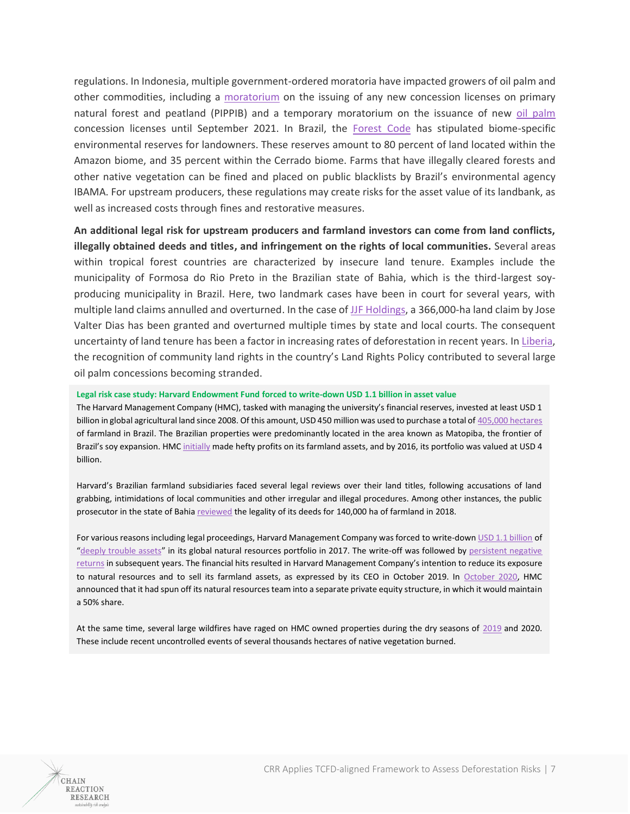regulations. In Indonesia, multiple government-ordered moratoria have impacted growers of oil palm and other commodities, including a [moratorium](https://www.menlhk.go.id/site/single_post/3272/penetapan-peta-indikatif-penghentian-pemberian-izin-baru-hutan-alam-primer-dan-lahan-gambut-pippib) on the issuing of any new concession licenses on primary natural forest and peatland (PIPPIB) and a temporary moratorium on the issuance of new [oil palm](https://news.mongabay.com/2018/09/indonesian-president-signs-3-year-freeze-on-new-oil-palm-licenses/) concession licenses until September 2021. In Brazil, the [Forest Code](https://www.wwf.org.uk/updates/brazils-new-forest-code-guide-2016) has stipulated biome-specific environmental reserves for landowners. These reserves amount to 80 percent of land located within the Amazon biome, and 35 percent within the Cerrado biome. Farms that have illegally cleared forests and other native vegetation can be fined and placed on public blacklists by Brazil's environmental agency IBAMA. For upstream producers, these regulations may create risks for the asset value of its landbank, as well as increased costs through fines and restorative measures.

**An additional legal risk for upstream producers and farmland investors can come from land conflicts, illegally obtained deeds and titles, and infringement on the rights of local communities.** Several areas within tropical forest countries are characterized by insecure land tenure. Examples include the municipality of Formosa do Rio Preto in the Brazilian state of Bahia, which is the third-largest soyproducing municipality in Brazil. Here, two landmark cases have been in court for several years, with multiple land claims annulled and overturned. In the case of [JJF Holdings,](https://chainreactionresearch.com/report/jjf-holding-land-grabbing-case-intensifies-soy-traders-exposure-to-cerrado-deforestation/) a 366,000-ha land claim by Jose Valter Dias has been granted and overturned multiple times by state and local courts. The consequent uncertainty of land tenure has been a factor in increasing rates of deforestation in recent years. In [Liberia,](https://chainreactionresearch.com/report/sime-darby-liberian-crossroads/) the recognition of community land rights in the country's Land Rights Policy contributed to several large oil palm concessions becoming stranded.

#### **Legal risk case study: Harvard Endowment Fund forced to write-down USD 1.1 billion in asset value**

The Harvard Management Company (HMC), tasked with managing the university's financial reserves, invested at least USD 1 billion in global agricultural land since 2008. Of this amount, USD 450 million was used to purchase a total o[f 405,000 hectares](https://news.mongabay.com/2020/08/harvards-half-billion-land-stake-in-brazil-marred-by-conflict-and-abuse/#:~:text=Harvard%20University%20has%20plowed%20%24450,and%20crimes%20against%20the%20environment.) of farmland in Brazil. The Brazilian properties were predominantly located in the area known as Matopiba, the frontier of Brazil's soy expansion. HMC [initially](https://www.bloomberg.com/news/articles/2018-09-06/harvard-s-foreign-farmland-investment-mess) made hefty profits on its farmland assets, and by 2016, its portfolio was valued at USD 4 billion.

Harvard's Brazilian farmland subsidiaries faced several legal reviews over their land titles, following accusations of land grabbing, intimidations of local communities and other irregular and illegal procedures. Among other instances, the public prosecutor in the state of Bahia [reviewed](https://www.bloomberg.com/news/articles/2018-09-06/harvard-s-foreign-farmland-investment-mess) the legality of its deeds for 140,000 ha of farmland in 2018.

For various reasons including legal proceedings, Harvard Management Company was forced to write-dow[n USD 1.1](https://grain.org/e/6006) billion of "[deeply trouble assets](https://www.institutionalinvestor.com/article/b1hr6vcnxdq4xs/Harvard-s-Investing-Chief-Shares-a-Sobering-Thought)" in its global natural resources portfolio in 2017. The write-off was followed by [persistent negative](http://www.hmc.harvard.edu/content/uploads/2019/10/FY19-HMC-Annual-Report.pdf)  [returns](http://www.hmc.harvard.edu/content/uploads/2019/10/FY19-HMC-Annual-Report.pdf) in subsequent years. The financial hits resulted in Harvard Management Company's intention to reduce its exposure to natural resources and to sell its farmland assets, as expressed by its CEO in October 2019. In [October 2020,](https://www.prnewswire.com/news-releases/agriculture-and-food-investment-management-firm-solum-partners-launched-by-former-harvard-management-company-executives-301148637.html) HMC announced that it had spun off its natural resources team into a separate private equity structure, in which it would maintain a 50% share.

At the same time, several large wildfires have raged on HMC owned properties during the dry seasons of [2019](https://grain.org/en/article/6339-harvard-and-tiaa-s-farmland-grab-in-brazil-goes-up-in-smoke) and 2020. These include recent uncontrolled events of several thousands hectares of native vegetation burned.

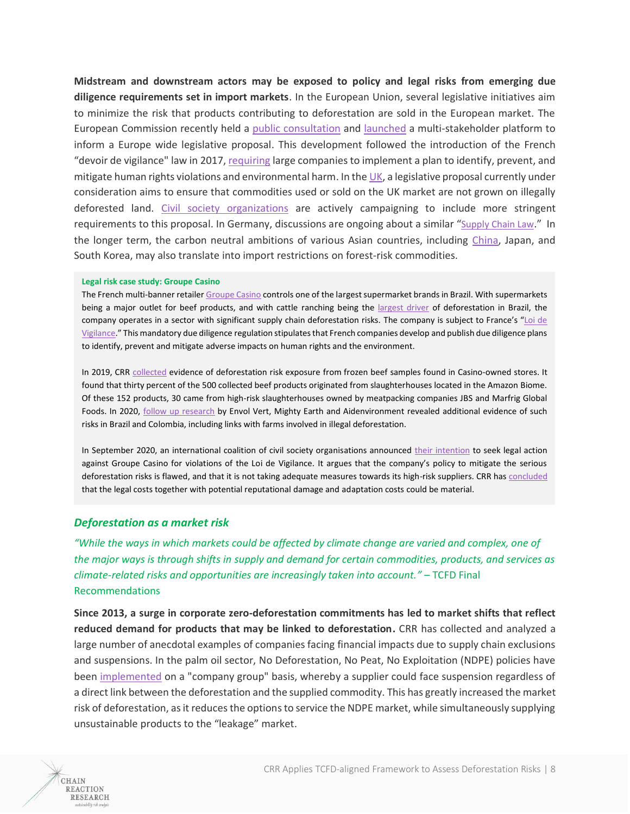**Midstream and downstream actors may be exposed to policy and legal risks from emerging due diligence requirements set in import markets**. In the European Union, several legislative initiatives aim to minimize the risk that products contributing to deforestation are sold in the European market. The European Commission recently held a [public consultation](https://ec.europa.eu/info/law/better-regulation/have-your-say/initiatives/12137-Minimising-the-risk-of-deforestation-and-forest-degradation-associated-with-products-placed-on-the-EU-market/public-consultation) and [launched](https://ec.europa.eu/environment/news/commission-launches-global-cooperation-platform-fight-deforestation-2020-10-02_en) a multi-stakeholder platform to inform a Europe wide legislative proposal. This development followed the introduction of the French "devoir de vigilance" law in 2017, [requiring](https://www.globalbusinessandhumanrights.com/2017/08/03/the-french-duty-of-vigilance-law-what-you-need-to-know/#:~:text=Companies%20subject%20to%20the%20French,to%20implement%20a%20vigilance%20plan.&text=That%20said%2C%20generally%2C%20the%20French,in%20connection%20with%20their%20operations.) large companies to implement a plan to identify, prevent, and mitigate human rights violations and environmental harm. In the [UK,](https://www.cliffordchance.com/insights/resources/blogs/business-and-human-rights-insights/does-the-proposed-UK-deforestation-law.html) a legislative proposal currently under consideration aims to ensure that commodities used or sold on the UK market are not grown on illegally deforested land. [Civil society organizations](https://theecologist.org/2020/nov/12/rainforest-protection-too-weak) are actively campaigning to include more stringent requirements to this proposal. In Germany, discussions are ongoing about a similar "[Supply Chain Law](https://www.lexology.com/library/detail.aspx?g=f1bde270-239d-40cd-85ad-d805adba5790#:~:text=A%20Supply%20Chain%20Law%20would,must%20also%20comply%20with%20them.)." In the longer term, the carbon neutral ambitions of various Asian countries, including [China,](https://www.nature.com/articles/d41586-020-02927-9) Japan, and South Korea, may also translate into import restrictions on forest-risk commodities.

#### **Legal risk case study: Groupe Casino**

The French multi-banner retaile[r Groupe Casino](https://www.groupe-casino.fr/en/) controls one of the largest supermarket brands in Brazil. With supermarkets being a major outlet for beef products, and with cattle ranching being the [largest driver](https://plataforma.mapbiomas.org/) of deforestation in Brazil, the company operates in a sector with significant supply chain deforestation risks. The company is subject to France's "[Loi de](https://www.vie-publique.fr/rapport/273894-loi-sur-la-vigilance-des-societes-meres-et-entreprises-donneuse-d-ordre#:~:text=En%20France%2C%20la%20loi%20n,France%20et%20%C3%A0%20l)  [Vigilance.](https://www.vie-publique.fr/rapport/273894-loi-sur-la-vigilance-des-societes-meres-et-entreprises-donneuse-d-ordre#:~:text=En%20France%2C%20la%20loi%20n,France%20et%20%C3%A0%20l)" This mandatory due diligence regulation stipulates that French companies develop and publish due diligence plans to identify, prevent and mitigate adverse impacts on human rights and the environment.

In 2019, CRR [collected](https://chainreactionresearch.com/report/gpas-casino-group-beef-supply-chain-exposed-to-deforestation-risks/) evidence of deforestation risk exposure from frozen beef samples found in Casino-owned stores. It found that thirty percent of the 500 collected beef products originated from slaughterhouses located in the Amazon Biome. Of these 152 products, 30 came from high-risk slaughterhouses owned by meatpacking companies JBS and Marfrig Global Foods. In 2020, [follow up research](http://envol-vert.org/wp-content/uploads/2020/06/Rapport-Casino%C3%A9coresponsable-de-la-d%C3%A9forestation.pdf) by Envol Vert, Mighty Earth and Aidenvironment revealed additional evidence of such risks in Brazil and Colombia, including links with farms involved in illegal deforestation.

In September 2020, an international coalition of civil society organisations announced their [intention](https://www.asso-sherpa.org/indigenous-organisations-and-ngo-coalition-warn-top-french-supermarket-casino-do-not-sell-beef-from-deforestation-in-brazil-and-colombia-or-face-french-law-stop-gambling-with-our-forests) to seek legal action against Groupe Casino for violations of the Loi de Vigilance. It argues that the company's policy to mitigate the serious deforestation risks is flawed, and that it is not taking adequate measures towards its high-risk suppliers. CRR ha[s concluded](https://chainreactionresearch.com/report/casino-groups-legal-and-financial-risks-accelerate-due-to-deforestation-in-brazilian-beef-supply-chain/) that the legal costs together with potential reputational damage and adaptation costs could be material.

## *Deforestation as a market risk*

CHAIN **REACTION RESEARCH** 

*"While the ways in which markets could be affected by climate change are varied and complex, one of the major ways is through shifts in supply and demand for certain commodities, products, and services as climate-related risks and opportunities are increasingly taken into account."* – TCFD Final Recommendations

**Since 2013, a surge in corporate zero-deforestation commitments has led to market shifts that reflect reduced demand for products that may be linked to deforestation.** CRR has collected and analyzed a large number of anecdotal examples of companies facing financial impacts due to supply chain exclusions and suspensions. In the palm oil sector, No Deforestation, No Peat, No Exploitation (NDPE) policies have been [implemented](https://chainreactionresearch.com/wp-content/uploads/2018/06/Shadow-Company-June-22-2018-Final-for-sharepoint.pdf) on a "company group" basis, whereby a supplier could face suspension regardless of a direct link between the deforestation and the supplied commodity. This has greatly increased the market risk of deforestation, as it reduces the options to service the NDPE market, while simultaneously supplying unsustainable products to the "leakage" market.

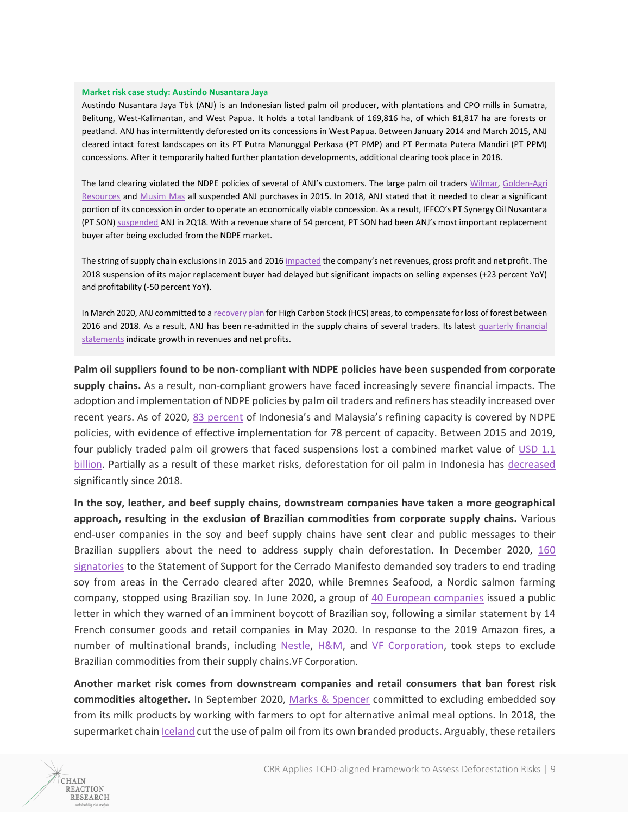#### **Market risk case study: Austindo Nusantara Jaya**

CHAIN **REACTION RESEARCH** 

Austindo Nusantara Jaya Tbk (ANJ) is an Indonesian listed palm oil producer, with plantations and CPO mills in Sumatra, Belitung, West-Kalimantan, and West Papua. It holds a total landbank of 169,816 ha, of which 81,817 ha are forests or peatland. ANJ has intermittently deforested on its concessions in West Papua. Between January 2014 and March 2015, ANJ cleared intact forest landscapes on its PT Putra Manunggal Perkasa (PT PMP) and PT Permata Putera Mandiri (PT PPM) concessions. After it temporarily halted further plantation developments, additional clearing took place in 2018.

The land clearing violated the NDPE policies of several of ANJ's customers. The large palm oil trader[s Wilmar,](https://www.wilmar-international.com/sustainability/grievance-procedure) [Golden-Agri](https://goldenagri.com.sg/sustainability-dashboard/grievance-data)  [Resources](https://goldenagri.com.sg/sustainability-dashboard/grievance-data) and [Musim Mas](https://www.musimmas.com/grievance-list/austindo-nusantara-jaya-anj.html) all suspended ANJ purchases in 2015. In 2018, ANJ stated that it needed to clear a significant portion of its concession in order to operate an economically viable concession. As a result, IFFCO's PT Synergy Oil Nusantara (PT SON[\) suspended](https://iffco-cdn.azureedge.net/wp-content/uploads/2020/06/IFFCO-Supplier-Issue-Register-Updated-Jun-2020.pdf) ANJ in 2Q18. With a revenue share of 54 percent, PT SON had been ANJ's most important replacement buyer after being excluded from the NDPE market.

The string of supply chain exclusions in 2015 and 2016 [impacted](https://chainreactionresearch.com/report/palm-oil-growers-suspended-over-deforestation-lose-usd-usd-1-1b-in-equity-value/) the company's net revenues, gross profit and net profit. The 2018 suspension of its major replacement buyer had delayed but significant impacts on selling expenses (+23 percent YoY) and profitability (-50 percent YoY).

In March 2020, ANJ committed to [a recovery plan](https://anj-group.com/en/hcs-area-loss-recovery-plan) for High Carbon Stock (HCS) areas, to compensate for loss of forest between 2016 and 2018. As a result, ANJ has been re-admitted in the supply chains of several traders. Its latest [quarterly financial](https://anj-group.com/en/financial-report/download/1035/Report%20Q3%202020%20ANJT_pXGU0I20201030155206.pdf)  [statements](https://anj-group.com/en/financial-report/download/1035/Report%20Q3%202020%20ANJT_pXGU0I20201030155206.pdf) indicate growth in revenues and net profits.

**Palm oil suppliers found to be non-compliant with NDPE policies have been suspended from corporate supply chains.** As a result, non-compliant growers have faced increasingly severe financial impacts. The adoption and implementation of NDPE policies by palm oil traders and refiners has steadily increased over recent years. As of 2020, [83 percent](https://chainreactionresearch.com/report/ndpe-policies-cover-83-of-palm-oil-refineries-implementation-at-75/) of Indonesia's and Malaysia's refining capacity is covered by NDPE policies, with evidence of effective implementation for 78 percent of capacity. Between 2015 and 2019, four publicly traded palm oil growers that faced suspensions lost a combined market value of [USD 1.1](https://chainreactionresearch.com/report/palm-oil-growers-suspended-over-deforestation-lose-usd-usd-1-1b-in-equity-value/)  [billion.](https://chainreactionresearch.com/report/palm-oil-growers-suspended-over-deforestation-lose-usd-usd-1-1b-in-equity-value/) Partially as a result of these market risks, deforestation for oil palm in Indonesia has [decreased](https://chainreactionresearch.com/the-chain-detected-deforestation-within-oil-palm-concessions-has-decreased-so-far-in-2020/) significantly since 2018.

**In the soy, leather, and beef supply chains, downstream companies have taken a more geographical approach, resulting in the exclusion of Brazilian commodities from corporate supply chains.** Various end-user companies in the soy and beef supply chains have sent clear and public messages to their Brazilian suppliers about the need to address supply chain deforestation. In December 2020, [160](https://www.ft.com/content/10215f47-72f4-411d-b7b1-d50bc0b150f6)  [signatories](https://www.ft.com/content/10215f47-72f4-411d-b7b1-d50bc0b150f6) to the Statement of Support for the Cerrado Manifesto demanded soy traders to end trading soy from areas in the Cerrado cleared after 2020, while Bremnes Seafood, a Nordic salmon farming company, stopped using Brazilian soy. In June 2020, a group of [40 European companies](https://chainreactionresearch.com/report/brazilian-beef-supply-chain-under-pressure-amid-worsening-esg-impacts/) issued a public letter in which they warned of an imminent boycott of Brazilian soy, following a similar statement by 14 French consumer goods and retail companies in May 2020. In response to the 2019 Amazon fires, a number of multinational brands, including [Nestle,](https://chainreactionresearch.com/the-chain-cargill-subsidiary-cut-off-from-grieg-seafoods-green-bond-proceeds-over-deforestation/) [H&M,](https://www.nytimes.com/2019/09/05/world/americas/h-m-leather-brazil-amazon-fires.html) and [VF Corporation,](https://www.forbes.com/sites/simonmainwaring/2019/09/10/purpose-at-work-why-vf-corp-boycotts-brazilian-leather-as-amazon-burns/) took steps to exclude Brazilian commodities from their supply chains.VF Corporation.

**Another market risk comes from downstream companies and retail consumers that ban forest risk commodities altogether.** In September 2020, [Marks & Spencer](https://www.theguardian.com/environment/2020/sep/30/marks-and-spencer-cuts-soya-production-milk-deforestation) committed to excluding embedded soy from its milk products by working with farmers to opt for alternative animal meal options. In 2018, the supermarket chai[n Iceland](https://www.theguardian.com/environment/2018/apr/10/iceland-to-be-first-uk-supermarket-to-cut-palm-oil-from-own-brand-products) cut the use of palm oil from its own branded products. Arguably, these retailers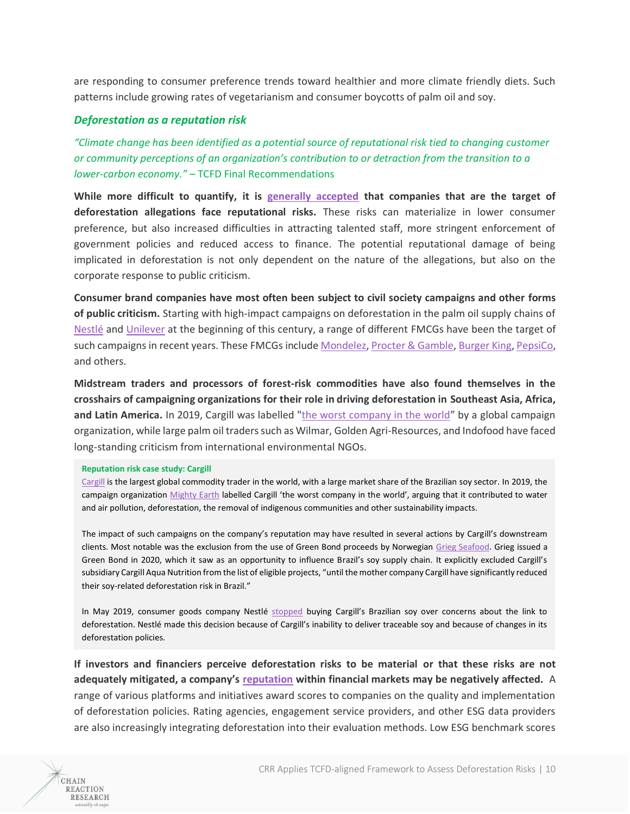are responding to consumer preference trends toward healthier and more climate friendly diets. Such patterns include growing rates of vegetarianism and consumer boycotts of palm oil and soy.

## *Deforestation as a reputation risk*

*"Climate change has been identified as a potential source of reputational risk tied to changing customer or community perceptions of an organization's contribution to or detraction from the transition to a lower-carbon economy." –* TCFD Final Recommendations

**While more difficult to quantify, it is [generally accepted](https://www.blackrock.com/corporate/literature/press-release/blk-vote-bulletin-procter-and-gamble-oct-2020.pdf) that companies that are the target of deforestation allegations face reputational risks.** These risks can materialize in lower consumer preference, but also increased difficulties in attracting talented staff, more stringent enforcement of government policies and reduced access to finance. The potential reputational damage of being implicated in deforestation is not only dependent on the nature of the allegations, but also on the corporate response to public criticism.

**Consumer brand companies have most often been subject to civil society campaigns and other forms of public criticism.** Starting with high-impact campaigns on deforestation in the palm oil supply chains of [Nestlé](https://www.greenpeace.org/international/press/reports/caught-red-handed-how-Nestl%C3%A9) and [Unilever](https://wayback.archive-it.org/9650/20200404084143/http:/p3-raw.greenpeace.org/international/en/publications/reports/how-unilever-palm-oil-supplier/) at the beginning of this century, a range of different FMCGs have been the target of such campaigns in recent years. These FMCGs includ[e Mondelez,](https://www.greenpeace.org/international/publication/19274/dying-cookie-mondelez-feeding-climate-extinction-crisis/) [Procter & Gamble,](https://www.nrdc.org/stop-procter-gamble-flushing-away-our-forests) [Burger King,](https://www.mightyearth.org/burger-king-commits-to-stop-destroying-rainforestsin-13-years/) [PepsiCo,](https://www.ran.org/pepsico-win/) and others.

**Midstream traders and processors of forest-risk commodities have also found themselves in the crosshairs of campaigning organizations for their role in driving deforestation in Southeast Asia, Africa, and Latin America.** In 2019, Cargill was labelled ["the worst company in the world](https://www.mightyearth.org/cargillreport)" by a global campaign organization, while large palm oil traders such as Wilmar, Golden Agri-Resources, and Indofood have faced long-standing criticism from international environmental NGOs.

#### **Reputation risk case study: Cargill**

[Cargill](https://www.cargill.com/) is the largest global commodity trader in the world, with a large market share of the Brazilian soy sector. In 2019, the campaign organization [Mighty Earth](https://www.mightyearth.org/cargillreport) labelled Cargill 'the worst company in the world', arguing that it contributed to water and air pollution, deforestation, the removal of indigenous communities and other sustainability impacts.

The impact of such campaigns on the company's reputation may have resulted in several actions by Cargill's downstream clients. Most notable was the exclusion from the use of Green Bond proceeds by Norwegian [Grieg Seafood.](https://chainreactionresearch.com/the-chain-cargill-subsidiary-cut-off-from-grieg-seafoods-green-bond-proceeds-over-deforestation/) Grieg issued a Green Bond in 2020, which it saw as an opportunity to influence Brazil's soy supply chain. It explicitly excluded Cargill's subsidiary Cargill Aqua Nutrition from the list of eligible projects, "until the mother company Cargill have significantly reduced their soy-related deforestation risk in Brazil."

In May 2019, consumer goods company Nestlé [stopped](https://www.feednavigator.com/Article/2020/01/08/Nestle-ceases-to-source-Brazil-soy-from-Cargill) buying Cargill's Brazilian soy over concerns about the link to deforestation. Nestlé made this decision because of Cargill's inability to deliver traceable soy and because of changes in its deforestation policies.

**If investors and financiers perceive deforestation risks to be material or that these risks are not adequately mitigated, a company's [reputation](https://chainreactionresearch.com/report/deforestation-driven-reputation-risk-could-become-material-for-fmcgs/) within financial markets may be negatively affected.** A range of various platforms and initiatives award scores to companies on the quality and implementation of deforestation policies. Rating agencies, engagement service providers, and other ESG data providers are also increasingly integrating deforestation into their evaluation methods. Low ESG benchmark scores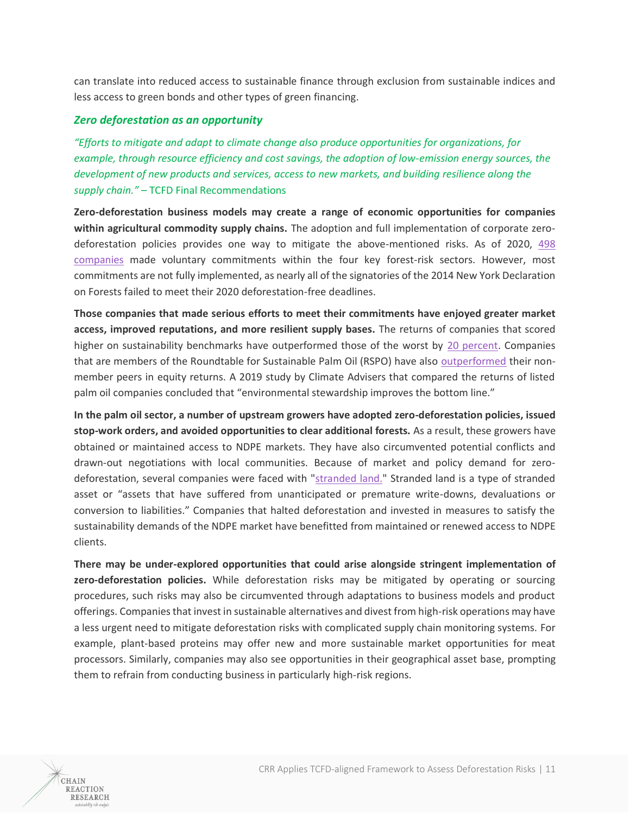can translate into reduced access to sustainable finance through exclusion from sustainable indices and less access to green bonds and other types of green financing.

## *Zero deforestation as an opportunity*

*"Efforts to mitigate and adapt to climate change also produce opportunities for organizations, for example, through resource efficiency and cost savings, the adoption of low-emission energy sources, the development of new products and services, access to new markets, and building resilience along the supply chain."* – TCFD Final Recommendations

**Zero-deforestation business models may create a range of economic opportunities for companies within agricultural commodity supply chains.** The adoption and full implementation of corporate zerodeforestation policies provides one way to mitigate the above-mentioned risks. As of 2020, [498](http://supply-change.org/)  [companies](http://supply-change.org/) made voluntary commitments within the four key forest-risk sectors. However, most commitments are not fully implemented, as nearly all of the signatories of the 2014 New York Declaration on Forests failed to meet their 2020 deforestation-free deadlines.

**Those companies that made serious efforts to meet their commitments have enjoyed greater market access, improved reputations, and more resilient supply bases.** The returns of companies that scored higher on sustainability benchmarks have outperformed those of the worst by [20 percent.](https://www.spott.org/wp-content/uploads/sites/3/dlm_uploads/2019/12/Palm-oil-a-business-case-for-sustainability-1.1.pdf) Companies that are members of the Roundtable for Sustainable Palm Oil (RSPO) have also [outperformed](https://www.ecosystemmarketplace.com/articles/sustainable-palm-oil-companies-outperform-bad-actors-25-can-new-index-capitalize/#:~:text=Climate%20Advisers%20conducted%20a%20composite,RSPO%20members%20by%2024.7%20percentage) their nonmember peers in equity returns. A 2019 study by Climate Advisers that compared the returns of listed palm oil companies concluded that "environmental stewardship improves the bottom line."

**In the palm oil sector, a number of upstream growers have adopted zero-deforestation policies, issued stop-work orders, and avoided opportunities to clear additional forests.** As a result, these growers have obtained or maintained access to NDPE markets. They have also circumvented potential conflicts and drawn-out negotiations with local communities. Because of market and policy demand for zerodeforestation, several companies were faced with ["stranded land."](https://chainreactionresearch.com/wp-content/uploads/2019/07/28-of-Indonesias-Landbank-Is-Stranded-3.pdf) Stranded land is a type of stranded asset or "assets that have suffered from unanticipated or premature write-downs, devaluations or conversion to liabilities." Companies that halted deforestation and invested in measures to satisfy the sustainability demands of the NDPE market have benefitted from maintained or renewed access to NDPE clients.

**There may be under-explored opportunities that could arise alongside stringent implementation of zero-deforestation policies.** While deforestation risks may be mitigated by operating or sourcing procedures, such risks may also be circumvented through adaptations to business models and product offerings. Companies that invest in sustainable alternatives and divest from high-risk operations may have a less urgent need to mitigate deforestation risks with complicated supply chain monitoring systems. For example, plant-based proteins may offer new and more sustainable market opportunities for meat processors. Similarly, companies may also see opportunities in their geographical asset base, prompting them to refrain from conducting business in particularly high-risk regions.

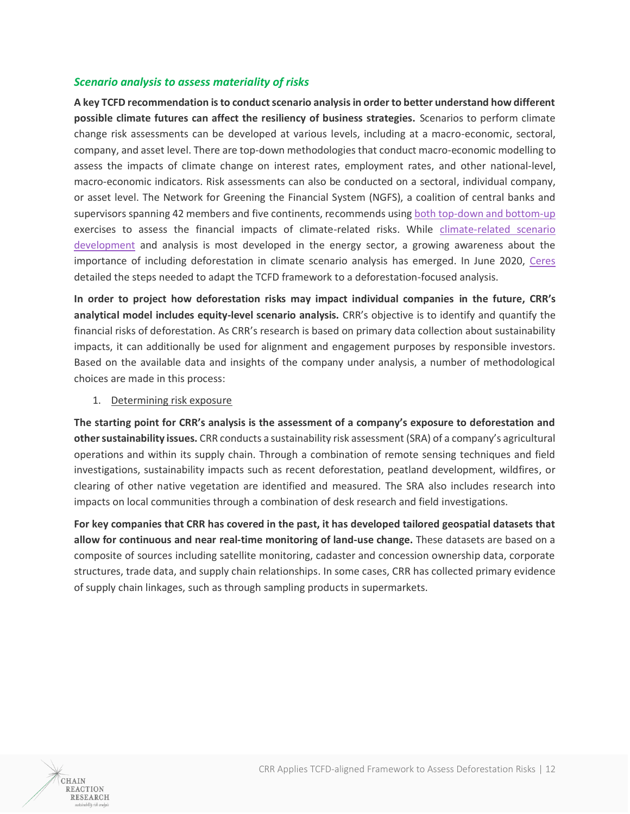## *Scenario analysis to assess materiality of risks*

**A key TCFD recommendation is to conduct scenario analysis in order to better understand how different possible climate futures can affect the resiliency of business strategies.** Scenarios to perform climate change risk assessments can be developed at various levels, including at a macro-economic, sectoral, company, and asset level. There are top-down methodologies that conduct macro-economic modelling to assess the impacts of climate change on interest rates, employment rates, and other national-level, macro-economic indicators. Risk assessments can also be conducted on a sectoral, individual company, or asset level. The Network for Greening the Financial System (NGFS), a coalition of central banks and supervisors spanning 42 members and five continents, recommends using [both top-down and bottom-up](https://www.ngfs.net/sites/default/files/medias/documents/ngfs_guide_scenario_analysis_final.pdf) exercises to assess the financial impacts of climate-related risks. While [climate-related scenario](https://www.iigcc.org/download/navigating-climate-scenario-analysis-a-guide-for-institutional-investors/?wpdmdl=1837&refresh=5f64799debfb51600420253)  [development](https://www.iigcc.org/download/navigating-climate-scenario-analysis-a-guide-for-institutional-investors/?wpdmdl=1837&refresh=5f64799debfb51600420253) and analysis is most developed in the energy sector, a growing awareness about the importance of including deforestation in climate scenario analysis has emerged. In June 2020, [Ceres](https://www.ceres.org/resources/reports/investor-guide-deforestation-and-climate-change) detailed the steps needed to adapt the TCFD framework to a deforestation-focused analysis.

**In order to project how deforestation risks may impact individual companies in the future, CRR's analytical model includes equity-level scenario analysis.** CRR's objective is to identify and quantify the financial risks of deforestation. As CRR's research is based on primary data collection about sustainability impacts, it can additionally be used for alignment and engagement purposes by responsible investors. Based on the available data and insights of the company under analysis, a number of methodological choices are made in this process:

## 1. Determining risk exposure

**The starting point for CRR's analysis is the assessment of a company's exposure to deforestation and other sustainability issues.** CRR conducts a sustainability risk assessment (SRA) of a company's agricultural operations and within its supply chain. Through a combination of remote sensing techniques and field investigations, sustainability impacts such as recent deforestation, peatland development, wildfires, or clearing of other native vegetation are identified and measured. The SRA also includes research into impacts on local communities through a combination of desk research and field investigations.

**For key companies that CRR has covered in the past, it has developed tailored geospatial datasets that allow for continuous and near real-time monitoring of land-use change.** These datasets are based on a composite of sources including satellite monitoring, cadaster and concession ownership data, corporate structures, trade data, and supply chain relationships. In some cases, CRR has collected primary evidence of supply chain linkages, such as through sampling products in supermarkets.

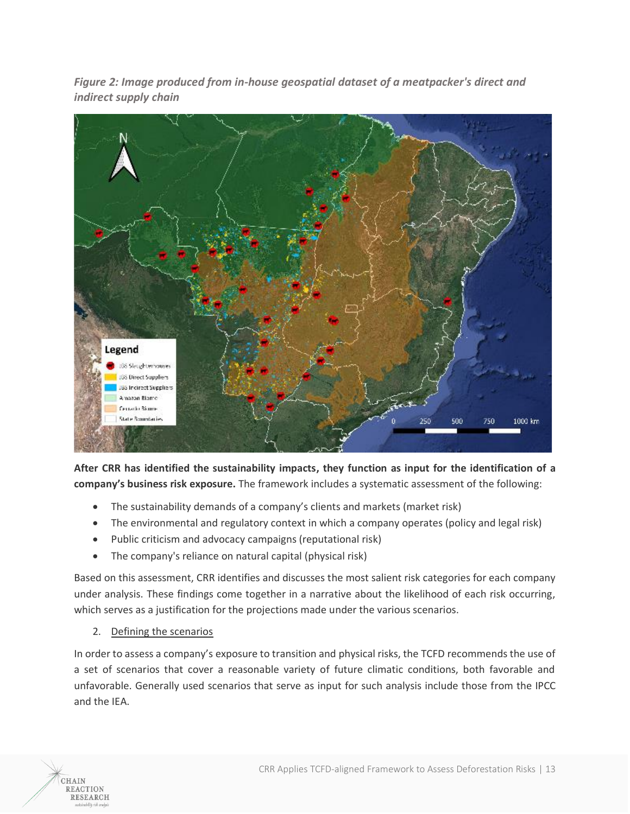*Figure 2: Image produced from in-house geospatial dataset of a meatpacker's direct and indirect supply chain*



**After CRR has identified the sustainability impacts, they function as input for the identification of a company's business risk exposure.** The framework includes a systematic assessment of the following:

- The sustainability demands of a company's clients and markets (market risk)
- The environmental and regulatory context in which a company operates (policy and legal risk)
- Public criticism and advocacy campaigns (reputational risk)
- The company's reliance on natural capital (physical risk)

Based on this assessment, CRR identifies and discusses the most salient risk categories for each company under analysis. These findings come together in a narrative about the likelihood of each risk occurring, which serves as a justification for the projections made under the various scenarios.

# 2. Defining the scenarios

CHAIN **REACTION RESEARCH** 

In order to assess a company's exposure to transition and physical risks, the TCFD recommends the use of a set of scenarios that cover a reasonable variety of future climatic conditions, both favorable and unfavorable. Generally used scenarios that serve as input for such analysis include those from the IPCC and the IEA.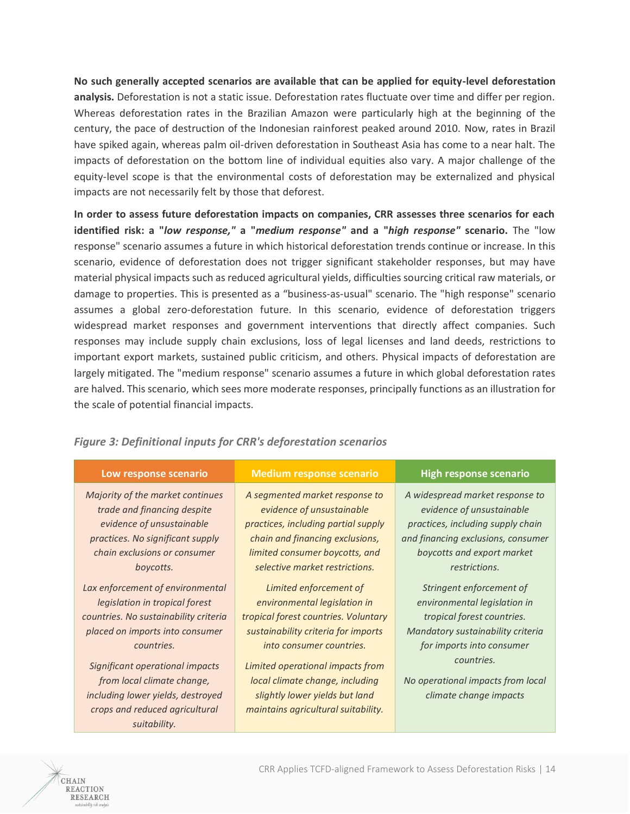**No such generally accepted scenarios are available that can be applied for equity-level deforestation analysis.** Deforestation is not a static issue. Deforestation rates fluctuate over time and differ per region. Whereas deforestation rates in the Brazilian Amazon were particularly high at the beginning of the century, the pace of destruction of the Indonesian rainforest peaked around 2010. Now, rates in Brazil have spiked again, whereas palm oil-driven deforestation in Southeast Asia has come to a near halt. The impacts of deforestation on the bottom line of individual equities also vary. A major challenge of the equity-level scope is that the environmental costs of deforestation may be externalized and physical impacts are not necessarily felt by those that deforest.

**In order to assess future deforestation impacts on companies, CRR assesses three scenarios for each identified risk: a "***low response,"* **a "***medium response"* **and a "***high response"* **scenario.** The "low response" scenario assumes a future in which historical deforestation trends continue or increase. In this scenario, evidence of deforestation does not trigger significant stakeholder responses, but may have material physical impacts such as reduced agricultural yields, difficulties sourcing critical raw materials, or damage to properties. This is presented as a "business-as-usual" scenario. The "high response" scenario assumes a global zero-deforestation future. In this scenario, evidence of deforestation triggers widespread market responses and government interventions that directly affect companies. Such responses may include supply chain exclusions, loss of legal licenses and land deeds, restrictions to important export markets, sustained public criticism, and others. Physical impacts of deforestation are largely mitigated. The "medium response" scenario assumes a future in which global deforestation rates are halved. This scenario, which sees more moderate responses, principally functions as an illustration for the scale of potential financial impacts.

| Low response scenario                 | <b>Medium response scenario</b>      | <b>High response scenario</b>      |
|---------------------------------------|--------------------------------------|------------------------------------|
| Majority of the market continues      | A segmented market response to       | A widespread market response to    |
| trade and financing despite           | evidence of unsustainable            | evidence of unsustainable          |
| evidence of unsustainable             | practices, including partial supply  | practices, including supply chain  |
| practices. No significant supply      | chain and financing exclusions,      | and financing exclusions, consumer |
| chain exclusions or consumer          | limited consumer boycotts, and       | boycotts and export market         |
| boycotts.                             | selective market restrictions.       | restrictions.                      |
| Lax enforcement of environmental      | Limited enforcement of               | Stringent enforcement of           |
| legislation in tropical forest        | environmental legislation in         | environmental legislation in       |
| countries. No sustainability criteria | tropical forest countries. Voluntary | tropical forest countries.         |
| placed on imports into consumer       | sustainability criteria for imports  | Mandatory sustainability criteria  |
| countries.                            | into consumer countries.             | for imports into consumer          |
| Significant operational impacts       | Limited operational impacts from     | countries.                         |
| from local climate change,            | local climate change, including      | No operational impacts from local  |
| including lower yields, destroyed     | slightly lower yields but land       | climate change impacts             |
| crops and reduced agricultural        | maintains agricultural suitability.  |                                    |
| suitability.                          |                                      |                                    |

# *Figure 3: Definitional inputs for CRR's deforestation scenarios*

CHAIN **REACTION RESEARCH**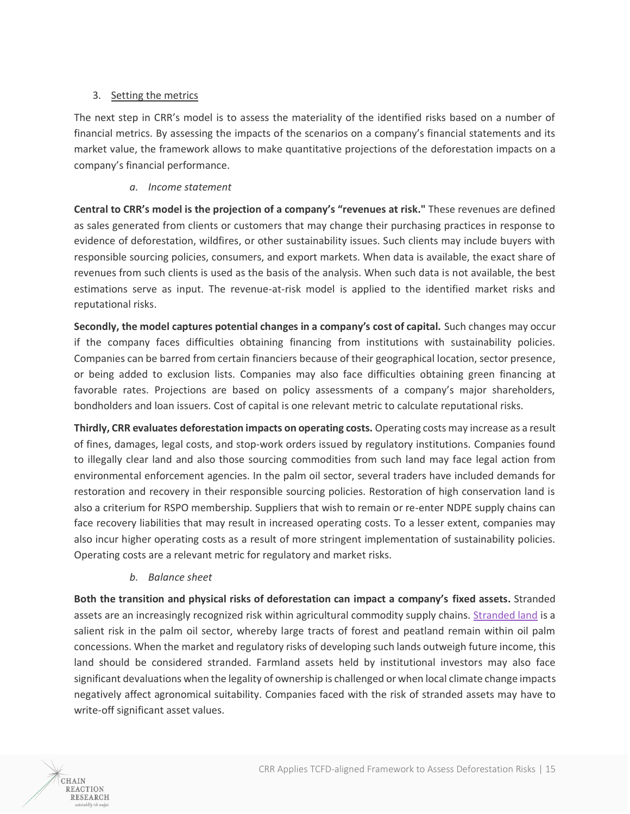## 3. Setting the metrics

The next step in CRR's model is to assess the materiality of the identified risks based on a number of financial metrics. By assessing the impacts of the scenarios on a company's financial statements and its market value, the framework allows to make quantitative projections of the deforestation impacts on a company's financial performance.

## *a. Income statement*

**Central to CRR's model is the projection of a company's "revenues at risk."** These revenues are defined as sales generated from clients or customers that may change their purchasing practices in response to evidence of deforestation, wildfires, or other sustainability issues. Such clients may include buyers with responsible sourcing policies, consumers, and export markets. When data is available, the exact share of revenues from such clients is used as the basis of the analysis. When such data is not available, the best estimations serve as input. The revenue-at-risk model is applied to the identified market risks and reputational risks.

**Secondly, the model captures potential changes in a company's cost of capital.** Such changes may occur if the company faces difficulties obtaining financing from institutions with sustainability policies. Companies can be barred from certain financiers because of their geographical location, sector presence, or being added to exclusion lists. Companies may also face difficulties obtaining green financing at favorable rates. Projections are based on policy assessments of a company's major shareholders, bondholders and loan issuers. Cost of capital is one relevant metric to calculate reputational risks.

**Thirdly, CRR evaluates deforestation impacts on operating costs.** Operating costs may increase as a result of fines, damages, legal costs, and stop-work orders issued by regulatory institutions. Companies found to illegally clear land and also those sourcing commodities from such land may face legal action from environmental enforcement agencies. In the palm oil sector, several traders have included demands for restoration and recovery in their responsible sourcing policies. Restoration of high conservation land is also a criterium for RSPO membership. Suppliers that wish to remain or re-enter NDPE supply chains can face recovery liabilities that may result in increased operating costs. To a lesser extent, companies may also incur higher operating costs as a result of more stringent implementation of sustainability policies. Operating costs are a relevant metric for regulatory and market risks.

*b. Balance sheet*

CHAIN **REACTION RESEARCH** 

**Both the transition and physical risks of deforestation can impact a company's fixed assets.** Stranded assets are an increasingly recognized risk within agricultural commodity supply chains. [Stranded land](https://chainreactionresearch.com/report/28-percent-of-indonesias-palm-oil-landbank-is-stranded/) is a salient risk in the palm oil sector, whereby large tracts of forest and peatland remain within oil palm concessions. When the market and regulatory risks of developing such lands outweigh future income, this land should be considered stranded. Farmland assets held by institutional investors may also face significant devaluations when the legality of ownership is challenged or when local climate change impacts negatively affect agronomical suitability. Companies faced with the risk of stranded assets may have to write-off significant asset values.